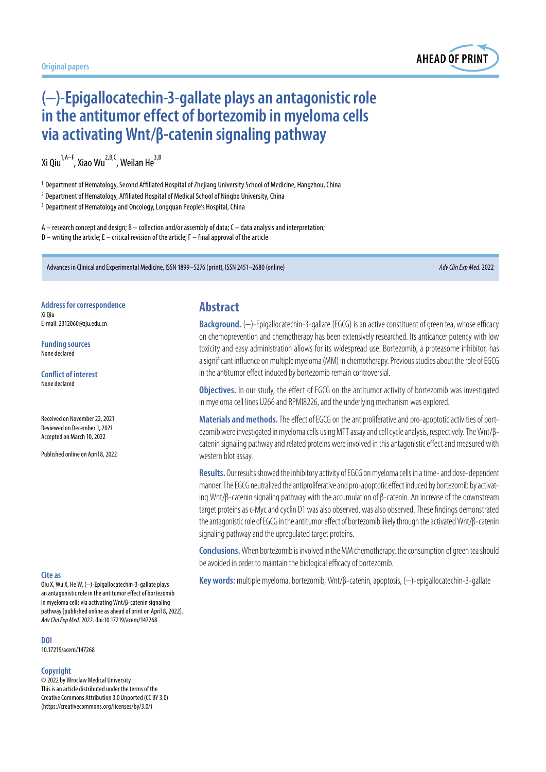

# **(−)-Epigallocatechin-3-gallate plays an antagonistic role in theantitumor effect of bortezomib inmyeloma cells via activating Wnt/β-catenin signaling pathway**

Xi Qiu<sup>1,A–F</sup>, Xiao Wu<sup>2,B,C</sup>, Weilan He<sup>3,B</sup>

<sup>1</sup> Department of Hematology, Second Affiliated Hospital of Zhejiang University School of Medicine, Hangzhou, China

<sup>2</sup> Department of Hematology, Affiliated Hospital of Medical School of Ningbo University, China

<sup>3</sup> Department of Hematology and Oncology, Longquan People's Hospital, China

A – research concept and design; B – collection and/or assembly of data; C – data analysis and interpretation;  $D$  – writing the article; E – critical revision of the article; F – final approval of the article

Advances in Clinical and Experimental Medicine, ISSN 1899–5276 (print), ISSN 2451–2680 (online) *Adv Clin Exp Med*. 2022

**Address for correspondence** Xi Qiu E-mail: 2312060@zju.edu.cn

**Funding sources** None declared

**Conflict of interest** None declared

Received on November 22, 2021 Reviewed on December 1, 2021 Accepted on March 10, 2022

Published online on April 8, 2022

#### **Cite as**

Qiu X, Wu X, He W. (-)-Epigallocatechin-3-gallate plays an antagonistic role in the antitumor effect of bortezomib in myeloma cells via activating Wnt/β-catenin signaling pathway [published online as ahead of print on April 8, 2022]. *Adv Clin Exp Med*. 2022. doi:10.17219/acem/147268

**DOI** 10.17219/acem/147268

#### **Copyright**

© 2022 by Wroclaw Medical University This is an article distributed under the terms of the Creative Commons Attribution 3.0 Unported (CC BY 3.0) (https://creativecommons.org/licenses/by/3.0/)

#### **Abstract**

**Background.** (−)-Epigallocatechin-3-gallate (EGCG) is an active constituent of green tea, whose efficacy on chemoprevention and chemotherapy has been extensively researched. Its anticancer potency with low toxicity and easy administration allows for its widespread use. Bortezomib, a proteasome inhibitor, has a significant influence on multiple myeloma (MM) in chemotherapy. Previous studies about the role of EGCG in the antitumor effect induced by bortezomib remain controversial.

**Objectives.** In our study, the effect of EGCG on the antitumor activity of bortezomib was investigated in myeloma cell lines U266 and RPMI8226, and the underlying mechanism was explored.

**Materials and methods.** The effect of EGCG on the antiproliferative and pro-apoptotic activities of bortezomib were investigated in myeloma cells using MTT assay and cell cycle analysis, respectively. The Wnt/βcatenin signaling pathway and related proteins were involved inthis antagonistic effect and measured with western blot assay.

**Results.** Our results showed the inhibitory activity of EGCG on myeloma cells in a time- and dose-dependent manner. The EGCG neutralized the antiproliferative and pro-apoptotic effect induced by bortezomib by activating Wnt/β-catenin signaling pathway with the accumulation of β-catenin. An increase of the downstream target proteins as c-Myc and cyclin D1 was also observed. was also observed. These findings demonstrated the antagonistic role of EGCG in the antitumor effect of bortezomib likely through the activated Wnt/β-catenin signaling pathway and the upregulated target proteins.

**Conclusions.** When bortezomib is involved in the MM chemotherapy, the consumption of green tea should be avoided in order to maintain the biological efficacy of bortezomib.

Key words: multiple myeloma, bortezomib, Wnt/β-catenin, apoptosis, (-)-epigallocatechin-3-gallate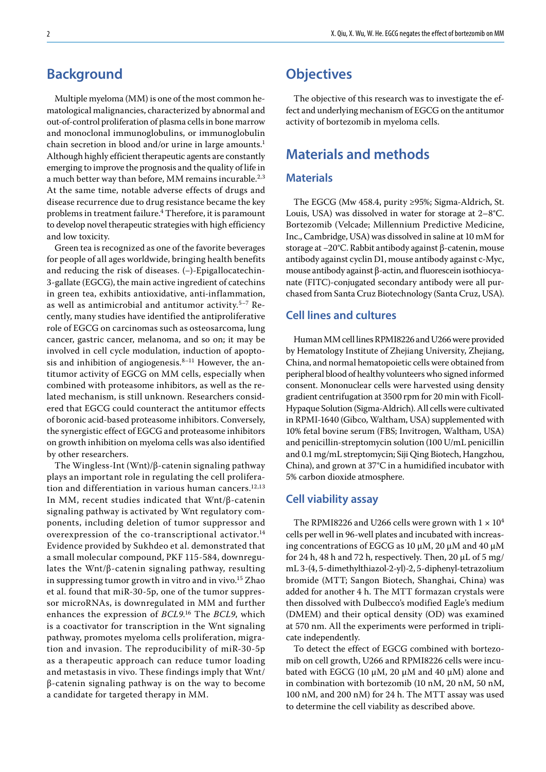## **Background**

Multiple myeloma (MM) is one of the most common hematological malignancies, characterized by abnormal and out-of-control proliferation of plasma cells in bone marrow and monoclonal immunoglobulins, or immunoglobulin chain secretion in blood and/or urine in large amounts.<sup>1</sup> Although highly efficient therapeutic agents are constantly emerging to improve the prognosis and the quality of life in a much better way than before, MM remains incurable.<sup>2,3</sup> At the same time, notable adverse effects of drugs and disease recurrence due to drug resistance became the key problems in treatment failure.4 Therefore, it is paramount to develop novel therapeutic strategies with high efficiency and low toxicity.

Green tea is recognized as one of the favorite beverages for people of all ages worldwide, bringing health benefits and reducing the risk of diseases. (−)-Epigallocatechin-3-gallate (EGCG), the main active ingredient of catechins in green tea, exhibits antioxidative, anti-inflammation, as well as antimicrobial and antitumor activity.5–7 Recently, many studies have identified the antiproliferative role of EGCG on carcinomas such as osteosarcoma, lung cancer, gastric cancer, melanoma, and so on; it may be involved in cell cycle modulation, induction of apoptosis and inhibition of angiogenesis. $8-11$  However, the antitumor activity of EGCG on MM cells, especially when combined with proteasome inhibitors, as well as the related mechanism, is still unknown. Researchers considered that EGCG could counteract the antitumor effects of boronic acid-based proteasome inhibitors. Conversely, the synergistic effect of EGCG and proteasome inhibitors on growth inhibition on myeloma cells was also identified by other researchers.

The Wingless-Int (Wnt)/β-catenin signaling pathway plays an important role in regulating the cell proliferation and differentiation in various human cancers.<sup>12,13</sup> In MM, recent studies indicated that Wnt/β-catenin signaling pathway is activated by Wnt regulatory components, including deletion of tumor suppressor and overexpression of the co-transcriptional activator.<sup>14</sup> Evidence provided by Sukhdeo et al. demonstrated that a small molecular compound, PKF 115-584, downregulates the Wnt/β-catenin signaling pathway, resulting in suppressing tumor growth in vitro and in vivo.<sup>15</sup> Zhao et al. found that miR-30-5p, one of the tumor suppressor microRNAs, is downregulated in MM and further enhances the expression of *BCL9*. 16 The *BCL9*, which is a coactivator for transcription in the Wnt signaling pathway, promotes myeloma cells proliferation, migration and invasion. The reproducibility of miR-30-5p as a therapeutic approach can reduce tumor loading and metastasis in vivo. These findings imply that Wnt/ β-catenin signaling pathway is on the way to become a candidate for targeted therapy in MM.

## **Objectives**

The objective of this research was to investigate the effect and underlying mechanism of EGCG on the antitumor activity of bortezomib in myeloma cells.

## **Materials and methods**

#### **Materials**

The EGCG (Mw 458.4, purity ≥95%; Sigma-Aldrich, St. Louis, USA) was dissolved in water for storage at 2–8°C. Bortezomib (Velcade; Millennium Predictive Medicine, Inc., Cambridge, USA) was dissolved in saline at 10 mM for storage at −20°C. Rabbit antibody against β-catenin, mouse antibody against cyclin D1, mouse antibody against c-Myc, mouse antibody against β-actin, and fluorescein isothiocyanate (FITC)-conjugated secondary antibody were all purchased from Santa Cruz Biotechnology (Santa Cruz, USA).

#### **Cell lines and cultures**

Human MM cell lines RPMI8226 and U266 were provided by Hematology Institute of Zhejiang University, Zhejiang, China, and normal hematopoietic cells were obtained from peripheral blood of healthy volunteers who signed informed consent. Mononuclear cells were harvested using density gradient centrifugation at 3500 rpm for 20 min with Ficoll-Hypaque Solution (Sigma-Aldrich). All cells were cultivated in RPMI-1640 (Gibco, Waltham, USA) supplemented with 10% fetal bovine serum (FBS; Invitrogen, Waltham, USA) and penicillin-streptomycin solution (100 U/mL penicillin and 0.1 mg/mL streptomycin; Siji Qing Biotech, Hangzhou, China), and grown at 37°C in a humidified incubator with 5% carbon dioxide atmosphere.

#### **Cell viability assay**

The RPMI8226 and U266 cells were grown with  $1 \times 10^4$ cells per well in 96-well plates and incubated with increasing concentrations of EGCG as 10 μM, 20 μM and 40 μM for 24 h, 48 h and 72 h, respectively. Then, 20  $\mu$ L of 5 mg/ mL 3-(4, 5-dimethylthiazol-2-yl)-2, 5-diphenyl-tetrazolium bromide (MTT; Sangon Biotech, Shanghai, China) was added for another 4 h. The MTT formazan crystals were then dissolved with Dulbecco's modified Eagle's medium (DMEM) and their optical density (OD) was examined at 570 nm. All the experiments were performed in triplicate independently.

To detect the effect of EGCG combined with bortezomib on cell growth, U266 and RPMI8226 cells were incubated with EGCG (10  $\mu$ M, 20  $\mu$ M and 40  $\mu$ M) alone and in combination with bortezomib (10 nM, 20 nM, 50 nM, 100 nM, and 200 nM) for 24 h. The MTT assay was used to determine the cell viability as described above.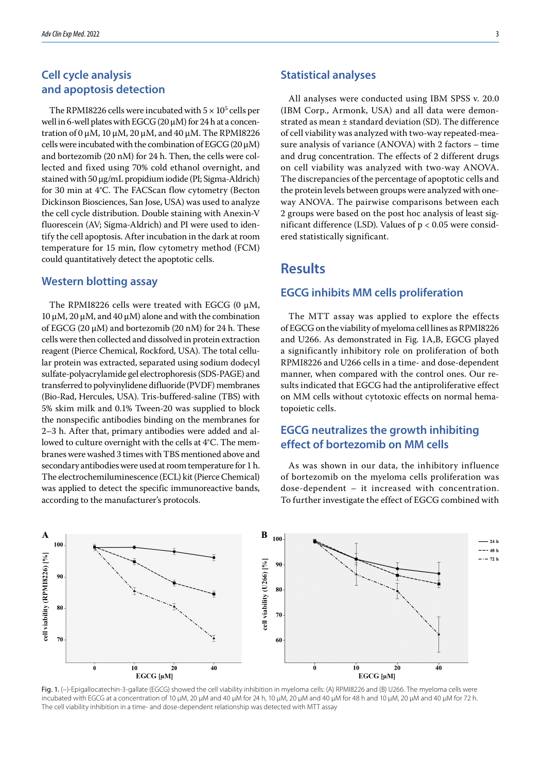### **Cell cycle analysis and apoptosis detection**

The RPMI8226 cells were incubated with  $5 \times 10^5$  cells per well in 6-well plates with EGCG (20 μM) for 24 h at a concentration of 0 μM, 10 μM, 20 μM, and 40 μM. The RPMI8226 cells were incubated with the combination of EGCG (20 μM) and bortezomib (20 nM) for 24 h. Then, the cells were collected and fixed using 70% cold ethanol overnight, and stained with 50 μg/mL propidium iodide (PI; Sigma-Aldrich) for 30 min at 4°C. The FACScan flow cytometry (Becton Dickinson Biosciences, San Jose, USA) was used to analyze the cell cycle distribution. Double staining with Anexin-V fluorescein (AV; Sigma-Aldrich) and PI were used to identify the cell apoptosis. After incubation in the dark at room temperature for 15 min, flow cytometry method (FCM) could quantitatively detect the apoptotic cells.

#### **Western blotting assay**

The RPMI8226 cells were treated with EGCG (0  $\mu$ M, 10 μM, 20 μM, and 40 μM) alone and with the combination of EGCG (20  $\mu$ M) and bortezomib (20 nM) for 24 h. These cells were then collected and dissolved in protein extraction reagent (Pierce Chemical, Rockford, USA). The total cellular protein was extracted, separated using sodium dodecyl sulfate-polyacrylamide gel electrophoresis (SDS-PAGE) and transferred to polyvinylidene difluoride (PVDF) membranes (Bio-Rad, Hercules, USA). Tris-buffered-saline (TBS) with 5% skim milk and 0.1% Tween-20 was supplied to block the nonspecific antibodies binding on the membranes for 2–3 h. After that, primary antibodies were added and allowed to culture overnight with the cells at 4°C. The membranes were washed 3 times with TBS mentioned above and secondary antibodies were used at room temperature for 1 h. The electrochemiluminescence (ECL) kit (Pierce Chemical) was applied to detect the specific immunoreactive bands, according to the manufacturer's protocols.

#### **Statistical analyses**

All analyses were conducted using IBM SPSS v. 20.0 (IBM Corp., Armonk, USA) and all data were demonstrated as mean ± standard deviation (SD). The difference of cell viability was analyzed with two-way repeated-measure analysis of variance (ANOVA) with 2 factors – time and drug concentration. The effects of 2 different drugs on cell viability was analyzed with two-way ANOVA. The discrepancies of the percentage of apoptotic cells and the protein levels between groups were analyzed with oneway ANOVA. The pairwise comparisons between each 2 groups were based on the post hoc analysis of least significant difference (LSD). Values of p < 0.05 were considered statistically significant.

### **Results**

#### **EGCG inhibits MM cells proliferation**

The MTT assay was applied to explore the effects of EGCG on the viability of myeloma cell lines as RPMI8226 and U266. As demonstrated in Fig. 1A,B, EGCG played a significantly inhibitory role on proliferation of both RPMI8226 and U266 cells in a time- and dose-dependent manner, when compared with the control ones. Our results indicated that EGCG had the antiproliferative effect on MM cells without cytotoxic effects on normal hematopoietic cells.

### **EGCG neutralizes the growth inhibiting effect of bortezomib on MM cells**

As was shown in our data, the inhibitory influence of bortezomib on the myeloma cells proliferation was dose-dependent – it increased with concentration. To further investigate the effect of EGCG combined with



Fig. 1. (−)-Epigallocatechin-3-gallate (EGCG) showed the cell viability inhibition in myeloma cells: (A) RPMI8226 and (B) U266. The myeloma cells were incubated with EGCG at a concentration of 10 μM, 20 μM and 40 μM for 24 h, 10 μM, 20 μM and 40 μM for 48 h and 10 μM, 20 μM and 40 μM for 72 h. The cell viability inhibition in a time- and dose-dependent relationship was detected with MTT assay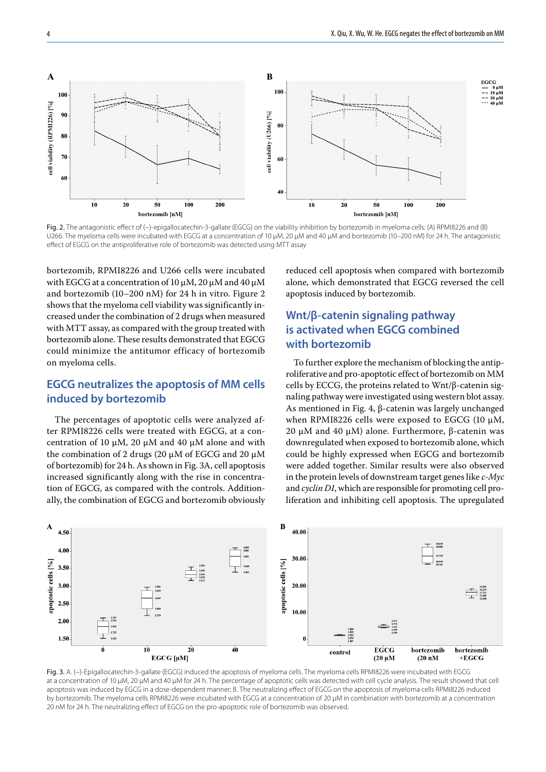

Fig. 2. The antagonistic effect of (-)-epigallocatechin-3-gallate (EGCG) on the viability inhibition by bortezomib in myeloma cells: (A) RPMI8226 and (B) U266. The myeloma cells were incubated with EGCG at a concentration of 10 μM, 20 μM and 40 μM and bortezomib (10–200 nM) for 24 h. The antagonistic effect of EGCG on the antiproliferative role of bortezomib was detected using MTT assay

bortezomib, RPMI8226 and U266 cells were incubated with EGCG at a concentration of 10 μM, 20 μM and 40 μM and bortezomib (10–200 nM) for 24 h in vitro. Figure 2 shows that the myeloma cell viability was significantly increased under the combination of 2 drugs when measured with MTT assay, as compared with the group treated with bortezomib alone. These results demonstrated that EGCG could minimize the antitumor efficacy of bortezomib on myeloma cells.

### **EGCG neutralizes the apoptosis of MM cells induced by bortezomib**

The percentages of apoptotic cells were analyzed after RPMI8226 cells were treated with EGCG, at a concentration of 10 μM, 20 μM and 40 μM alone and with the combination of 2 drugs (20 μM of EGCG and 20 μM of bortezomib) for 24 h. As shown in Fig. 3A, cell apoptosis increased significantly along with the rise in concentration of EGCG, as compared with the controls. Additionally, the combination of EGCG and bortezomib obviously reduced cell apoptosis when compared with bortezomib alone, which demonstrated that EGCG reversed the cell apoptosis induced by bortezomib.

### **Wnt/β-catenin signaling pathway is activated when EGCG combined with bortezomib**

To further explore the mechanism of blocking the antiproliferative and pro-apoptotic effect of bortezomib on MM cells by ECCG, the proteins related to Wnt/β-catenin signaling pathway were investigated using western blot assay. As mentioned in Fig. 4, β-catenin was largely unchanged when RPMI8226 cells were exposed to EGCG (10 μM, 20 μM and 40 μM) alone. Furthermore, β-catenin was downregulated when exposed to bortezomib alone, which could be highly expressed when EGCG and bortezomib were added together. Similar results were also observed in the protein levels of downstream target genes like *c-Myc* and *cyclin D1*, which are responsible for promoting cell proliferation and inhibiting cell apoptosis. The upregulated



Fig. 3. A. (−)-Epigallocatechin-3-gallate (EGCG) induced the apoptosis of myeloma cells. The myeloma cells RPMI8226 were incubated with EGCG at a concentration of 10 μM, 20 μM and 40 μM for 24 h. The percentage of apoptotic cells was detected with cell cycle analysis. The result showed that cell apoptosis was induced by EGCG in a dose-dependent manner; B. The neutralizing effect of EGCG on the apoptosis of myeloma cells RPMI8226 induced by bortezomib. The myeloma cells RPMI8226 were incubated with EGCG at a concentration of 20 μM in combination with bortezomib at a concentration 20 nM for 24 h. The neutralizing effect of EGCG on the pro-apoptotic role of bortezomib was observed.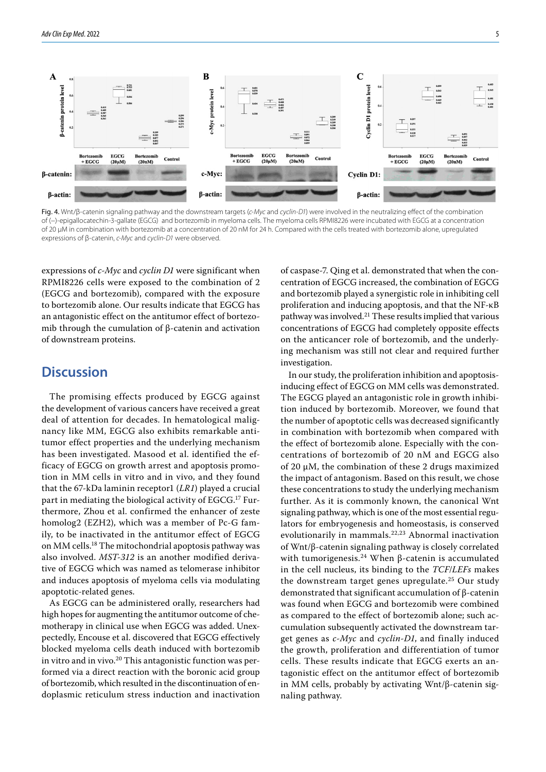



expressions of *c-Myc* and *cyclin D1* were significant when RPMI8226 cells were exposed to the combination of 2 (EGCG and bortezomib), compared with the exposure to bortezomib alone. Our results indicate that EGCG has an antagonistic effect on the antitumor effect of bortezomib through the cumulation of β-catenin and activation of downstream proteins.

### **Discussion**

The promising effects produced by EGCG against the development of various cancers have received a great deal of attention for decades. In hematological malignancy like MM, EGCG also exhibits remarkable antitumor effect properties and the underlying mechanism has been investigated. Masood et al. identified the efficacy of EGCG on growth arrest and apoptosis promotion in MM cells in vitro and in vivo, and they found that the 67-kDa laminin receptor1 (*LR1*) played a crucial part in mediating the biological activity of EGCG.<sup>17</sup> Furthermore, Zhou et al. confirmed the enhancer of zeste homolog2 (EZH2), which was a member of Pc-G family, to be inactivated in the antitumor effect of EGCG on MM cells.18 The mitochondrial apoptosis pathway was also involved. *MST-312* is an another modified derivative of EGCG which was named as telomerase inhibitor and induces apoptosis of myeloma cells via modulating apoptotic-related genes.

As EGCG can be administered orally, researchers had high hopes for augmenting the antitumor outcome of chemotherapy in clinical use when EGCG was added. Unexpectedly, Encouse et al. discovered that EGCG effectively blocked myeloma cells death induced with bortezomib in vitro and in vivo.<sup>20</sup> This antagonistic function was performed via a direct reaction with the boronic acid group of bortezomib, which resulted in the discontinuation of endoplasmic reticulum stress induction and inactivation of caspase-7. Qing et al. demonstrated that when the concentration of EGCG increased, the combination of EGCG and bortezomib played a synergistic role in inhibiting cell proliferation and inducing apoptosis, and that the NF-κB pathway was involved.21 These results implied that various concentrations of EGCG had completely opposite effects on the anticancer role of bortezomib, and the underlying mechanism was still not clear and required further investigation.

In our study, the proliferation inhibition and apoptosisinducing effect of EGCG on MM cells was demonstrated. The EGCG played an antagonistic role in growth inhibition induced by bortezomib. Moreover, we found that the number of apoptotic cells was decreased significantly in combination with bortezomib when compared with the effect of bortezomib alone. Especially with the concentrations of bortezomib of 20 nM and EGCG also of 20 μM, the combination of these 2 drugs maximized the impact of antagonism. Based on this result, we chose these concentrations to study the underlying mechanism further. As it is commonly known, the canonical Wnt signaling pathway, which is one of the most essential regulators for embryogenesis and homeostasis, is conserved evolutionarily in mammals.22,23 Abnormal inactivation of Wnt/β-catenin signaling pathway is closely correlated with tumorigenesis.<sup>24</sup> When β-catenin is accumulated in the cell nucleus, its binding to the *TCF*/*LEFs* makes the downstream target genes upregulate.25 Our study demonstrated that significant accumulation of β-catenin was found when EGCG and bortezomib were combined as compared to the effect of bortezomib alone; such accumulation subsequently activated the downstream target genes as *c-Myc* and *cyclin-D1*, and finally induced the growth, proliferation and differentiation of tumor cells. These results indicate that EGCG exerts an antagonistic effect on the antitumor effect of bortezomib in MM cells, probably by activating Wnt/β-catenin signaling pathway.